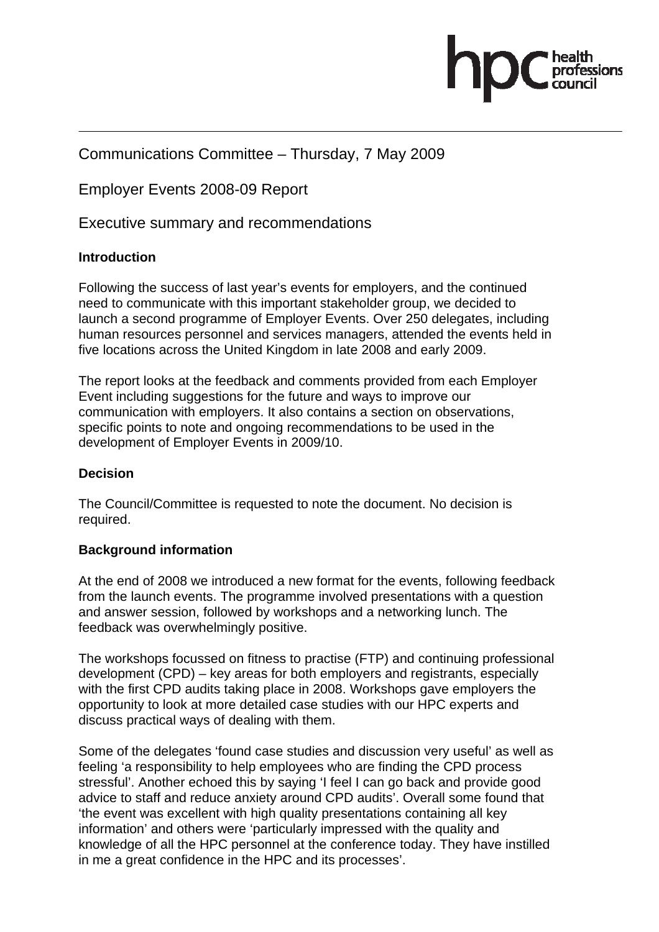

# Communications Committee – Thursday, 7 May 2009

Employer Events 2008-09 Report

Executive summary and recommendations

# **Introduction**

Following the success of last year's events for employers, and the continued need to communicate with this important stakeholder group, we decided to launch a second programme of Employer Events. Over 250 delegates, including human resources personnel and services managers, attended the events held in five locations across the United Kingdom in late 2008 and early 2009.

The report looks at the feedback and comments provided from each Employer Event including suggestions for the future and ways to improve our communication with employers. It also contains a section on observations, specific points to note and ongoing recommendations to be used in the development of Employer Events in 2009/10.

# **Decision**

The Council/Committee is requested to note the document. No decision is required.

# **Background information**

At the end of 2008 we introduced a new format for the events, following feedback from the launch events. The programme involved presentations with a question and answer session, followed by workshops and a networking lunch. The feedback was overwhelmingly positive.

The workshops focussed on fitness to practise (FTP) and continuing professional development (CPD) – key areas for both employers and registrants, especially with the first CPD audits taking place in 2008. Workshops gave employers the opportunity to look at more detailed case studies with our HPC experts and discuss practical ways of dealing with them.

Some of the delegates 'found case studies and discussion very useful' as well as feeling 'a responsibility to help employees who are finding the CPD process stressful'. Another echoed this by saying 'I feel I can go back and provide good advice to staff and reduce anxiety around CPD audits'. Overall some found that 'the event was excellent with high quality presentations containing all key information' and others were 'particularly impressed with the quality and knowledge of all the HPC personnel at the conference today. They have instilled in me a great confidence in the HPC and its processes'.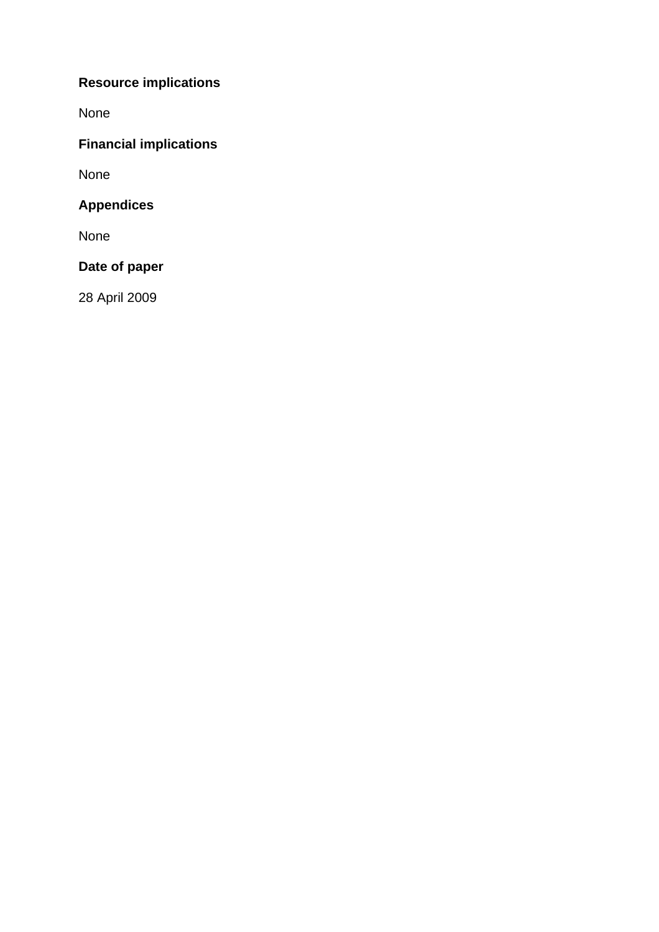# **Resource implications**

None

# **Financial implications**

None

# **Appendices**

None

# **Date of paper**

28 April 2009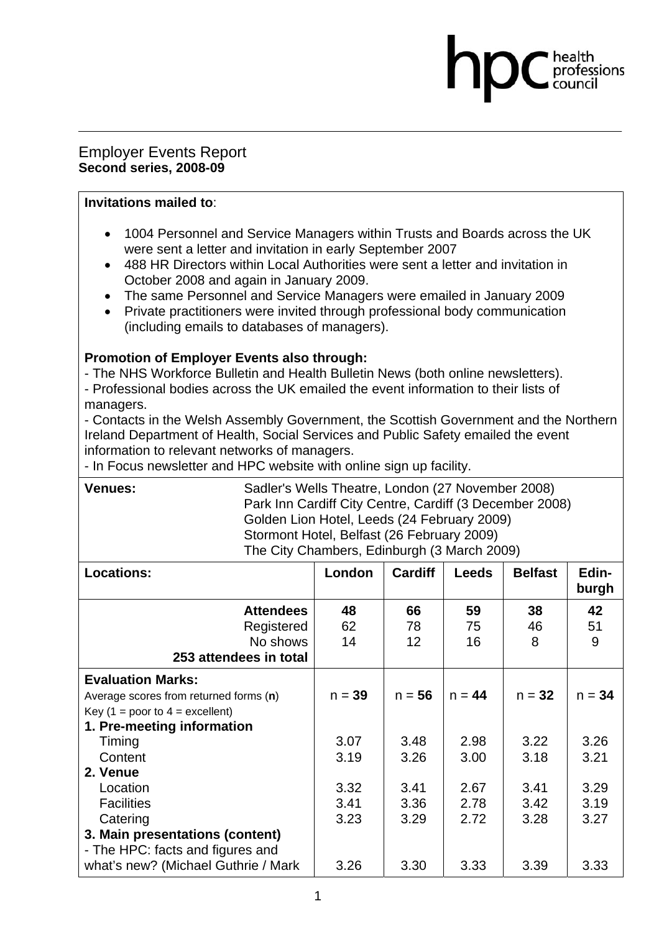## Employer Events Report **Second series, 2008-09**

#### **Invitations mailed to**:

• 1004 Personnel and Service Managers within Trusts and Boards across the UK were sent a letter and invitation in early September 2007

professions

- 488 HR Directors within Local Authorities were sent a letter and invitation in October 2008 and again in January 2009.
- The same Personnel and Service Managers were emailed in January 2009
- Private practitioners were invited through professional body communication (including emails to databases of managers).

## **Promotion of Employer Events also through:**

- The NHS Workforce Bulletin and Health Bulletin News (both online newsletters). - Professional bodies across the UK emailed the event information to their lists of managers.

- Contacts in the Welsh Assembly Government, the Scottish Government and the Northern Ireland Department of Health, Social Services and Public Safety emailed the event information to relevant networks of managers.

- In Focus newsletter and HPC website with online sign up facility.

| <b>Venues:</b>                         | Sadler's Wells Theatre, London (27 November 2008)<br>Park Inn Cardiff City Centre, Cardiff (3 December 2008)<br>Golden Lion Hotel, Leeds (24 February 2009)<br>Stormont Hotel, Belfast (26 February 2009)<br>The City Chambers, Edinburgh (3 March 2009) |                |              |                |                |  |  |
|----------------------------------------|----------------------------------------------------------------------------------------------------------------------------------------------------------------------------------------------------------------------------------------------------------|----------------|--------------|----------------|----------------|--|--|
| <b>Locations:</b>                      | London                                                                                                                                                                                                                                                   | <b>Cardiff</b> | <b>Leeds</b> | <b>Belfast</b> | Edin-<br>burgh |  |  |
| <b>Attendees</b>                       | 48                                                                                                                                                                                                                                                       | 66             | 59           | 38             | 42             |  |  |
| Registered                             | 62                                                                                                                                                                                                                                                       | 78             | 75           | 46             | 51             |  |  |
| No shows                               | 14                                                                                                                                                                                                                                                       | 12             | 16           | 8              | 9              |  |  |
| 253 attendees in total                 |                                                                                                                                                                                                                                                          |                |              |                |                |  |  |
| <b>Evaluation Marks:</b>               |                                                                                                                                                                                                                                                          |                |              |                |                |  |  |
| Average scores from returned forms (n) | $n = 39$                                                                                                                                                                                                                                                 | $n = 56$       | $n = 44$     | $n = 32$       | $n = 34$       |  |  |
| Key (1 = poor to $4$ = excellent)      |                                                                                                                                                                                                                                                          |                |              |                |                |  |  |
| 1. Pre-meeting information             |                                                                                                                                                                                                                                                          |                |              |                |                |  |  |
| Timing                                 | 3.07                                                                                                                                                                                                                                                     | 3.48           | 2.98         | 3.22           | 3.26           |  |  |
| Content                                | 3.19                                                                                                                                                                                                                                                     | 3.26           | 3.00         | 3.18           | 3.21           |  |  |
| 2. Venue                               |                                                                                                                                                                                                                                                          |                |              |                |                |  |  |
| Location                               | 3.32                                                                                                                                                                                                                                                     | 3.41           | 2.67         | 3.41           | 3.29           |  |  |
| <b>Facilities</b>                      | 3.41                                                                                                                                                                                                                                                     | 3.36           | 2.78         | 3.42           | 3.19           |  |  |
| Catering                               | 3.23                                                                                                                                                                                                                                                     | 3.29           | 2.72         | 3.28           | 3.27           |  |  |
| 3. Main presentations (content)        |                                                                                                                                                                                                                                                          |                |              |                |                |  |  |
| - The HPC: facts and figures and       |                                                                                                                                                                                                                                                          |                |              |                |                |  |  |
| what's new? (Michael Guthrie / Mark    | 3.26                                                                                                                                                                                                                                                     | 3.30           | 3.33         | 3.39           | 3.33           |  |  |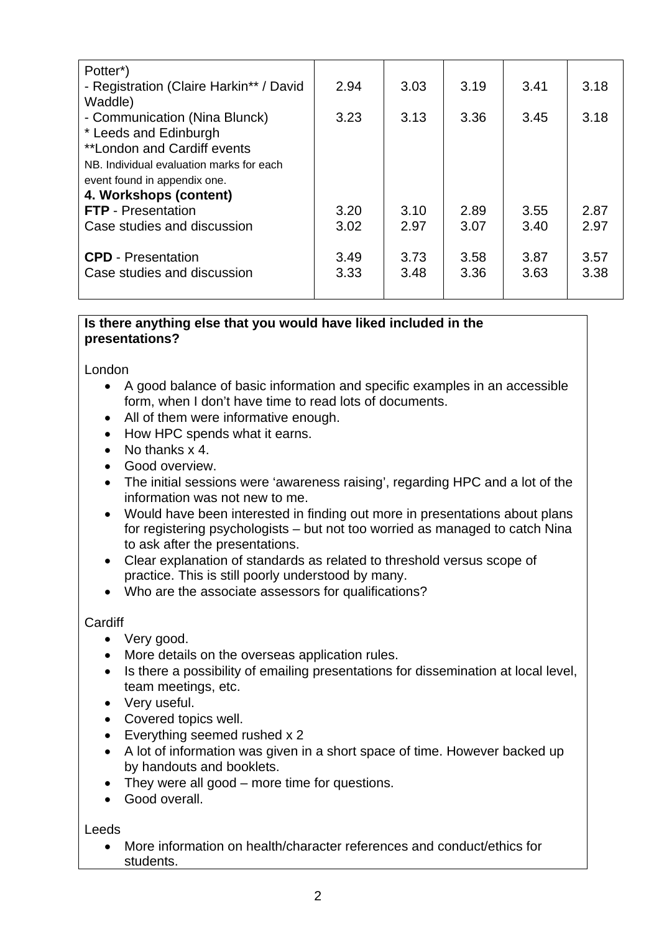| Potter <sup>*</sup> )                    |      |      |      |      |      |
|------------------------------------------|------|------|------|------|------|
| - Registration (Claire Harkin** / David  | 2.94 | 3.03 | 3.19 | 3.41 | 3.18 |
| Waddle)                                  |      |      |      |      |      |
| - Communication (Nina Blunck)            | 3.23 | 3.13 | 3.36 | 3.45 | 3.18 |
| * Leeds and Edinburgh                    |      |      |      |      |      |
| **London and Cardiff events              |      |      |      |      |      |
| NB. Individual evaluation marks for each |      |      |      |      |      |
| event found in appendix one.             |      |      |      |      |      |
| 4. Workshops (content)                   |      |      |      |      |      |
| <b>FTP</b> - Presentation                | 3.20 | 3.10 | 2.89 | 3.55 | 2.87 |
| Case studies and discussion              | 3.02 | 2.97 | 3.07 | 3.40 | 2.97 |
|                                          |      |      |      |      |      |
| <b>CPD</b> - Presentation                | 3.49 | 3.73 | 3.58 | 3.87 | 3.57 |
| Case studies and discussion              | 3.33 | 3.48 | 3.36 | 3.63 | 3.38 |
|                                          |      |      |      |      |      |

## **Is there anything else that you would have liked included in the presentations?**

London

- A good balance of basic information and specific examples in an accessible form, when I don't have time to read lots of documents.
- All of them were informative enough.
- How HPC spends what it earns.
- No thanks x 4.
- Good overview.
- The initial sessions were 'awareness raising', regarding HPC and a lot of the information was not new to me.
- Would have been interested in finding out more in presentations about plans for registering psychologists – but not too worried as managed to catch Nina to ask after the presentations.
- Clear explanation of standards as related to threshold versus scope of practice. This is still poorly understood by many.
- Who are the associate assessors for qualifications?

#### **Cardiff**

- Very good.
- More details on the overseas application rules.
- Is there a possibility of emailing presentations for dissemination at local level, team meetings, etc.
- Very useful.
- Covered topics well.
- Everything seemed rushed x 2
- A lot of information was given in a short space of time. However backed up by handouts and booklets.
- They were all good more time for questions.
- Good overall.

Leeds

• More information on health/character references and conduct/ethics for students.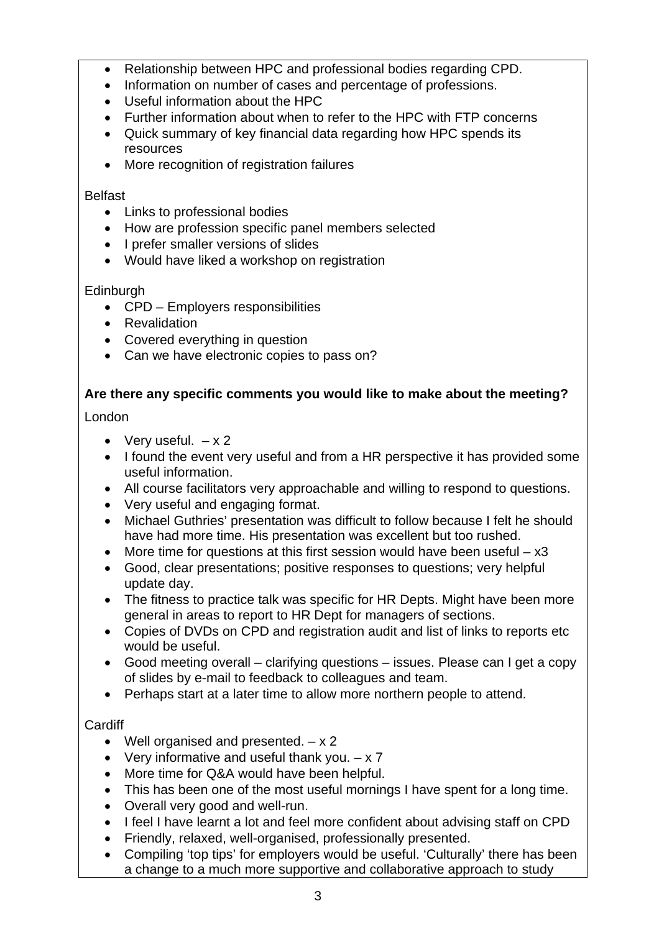- Relationship between HPC and professional bodies regarding CPD.
- Information on number of cases and percentage of professions.
- Useful information about the HPC
- Further information about when to refer to the HPC with FTP concerns
- Quick summary of key financial data regarding how HPC spends its resources
- More recognition of registration failures

## Belfast

- Links to professional bodies
- How are profession specific panel members selected
- I prefer smaller versions of slides
- Would have liked a workshop on registration

# **Edinburgh**

- CPD Employers responsibilities
- Revalidation
- Covered everything in question
- Can we have electronic copies to pass on?

# **Are there any specific comments you would like to make about the meeting?**

# London

- Very useful.  $-x2$
- I found the event very useful and from a HR perspective it has provided some useful information.
- All course facilitators very approachable and willing to respond to questions.
- Very useful and engaging format.
- Michael Guthries' presentation was difficult to follow because I felt he should have had more time. His presentation was excellent but too rushed.
- More time for questions at this first session would have been useful  $x3$
- Good, clear presentations; positive responses to questions; very helpful update day.
- The fitness to practice talk was specific for HR Depts. Might have been more general in areas to report to HR Dept for managers of sections.
- Copies of DVDs on CPD and registration audit and list of links to reports etc would be useful.
- Good meeting overall clarifying questions issues. Please can I get a copy of slides by e-mail to feedback to colleagues and team.
- Perhaps start at a later time to allow more northern people to attend.

# Cardiff

- Well organised and presented.  $x 2$
- Very informative and useful thank you.  $x 7$
- More time for Q&A would have been helpful.
- This has been one of the most useful mornings I have spent for a long time.
- Overall very good and well-run.
- I feel I have learnt a lot and feel more confident about advising staff on CPD
- Friendly, relaxed, well-organised, professionally presented.
- Compiling 'top tips' for employers would be useful. 'Culturally' there has been a change to a much more supportive and collaborative approach to study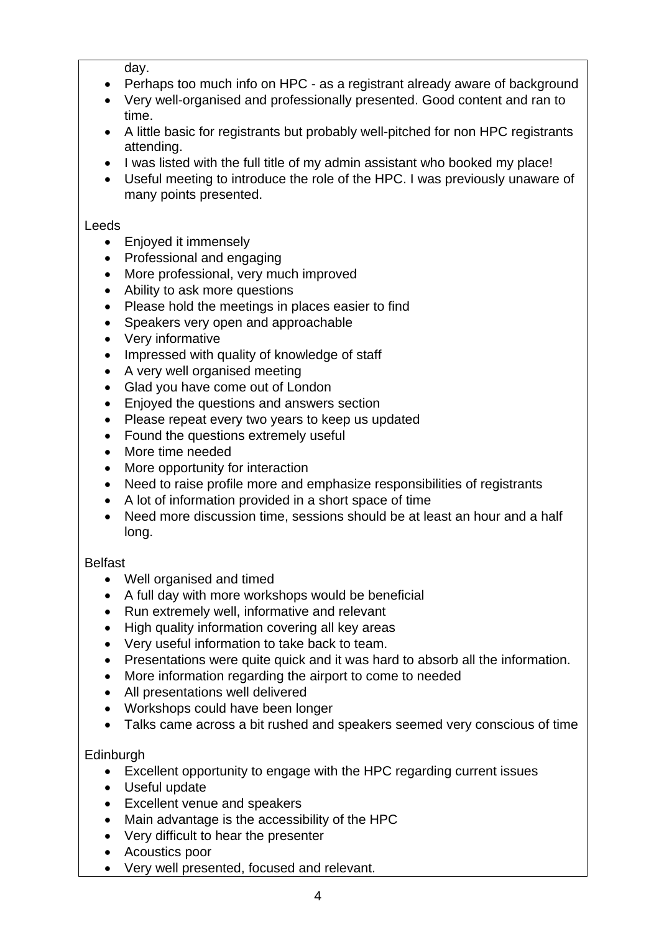day.

- Perhaps too much info on HPC as a registrant already aware of background
- Very well-organised and professionally presented. Good content and ran to time.
- A little basic for registrants but probably well-pitched for non HPC registrants attending.
- I was listed with the full title of my admin assistant who booked my place!
- Useful meeting to introduce the role of the HPC. I was previously unaware of many points presented.

#### Leeds

- Enjoyed it immensely
- Professional and engaging
- More professional, very much improved
- Ability to ask more questions
- Please hold the meetings in places easier to find
- Speakers very open and approachable
- Very informative
- Impressed with quality of knowledge of staff
- A very well organised meeting
- Glad you have come out of London
- Enjoyed the questions and answers section
- Please repeat every two years to keep us updated
- Found the questions extremely useful
- More time needed
- More opportunity for interaction
- Need to raise profile more and emphasize responsibilities of registrants
- A lot of information provided in a short space of time
- Need more discussion time, sessions should be at least an hour and a half long.

# Belfast

- Well organised and timed
- A full day with more workshops would be beneficial
- Run extremely well, informative and relevant
- High quality information covering all key areas
- Very useful information to take back to team.
- Presentations were quite quick and it was hard to absorb all the information.
- More information regarding the airport to come to needed
- All presentations well delivered
- Workshops could have been longer
- Talks came across a bit rushed and speakers seemed very conscious of time

# **Edinburgh**

- Excellent opportunity to engage with the HPC regarding current issues
- Useful update
- Excellent venue and speakers
- Main advantage is the accessibility of the HPC
- Very difficult to hear the presenter
- Acoustics poor
- Very well presented, focused and relevant.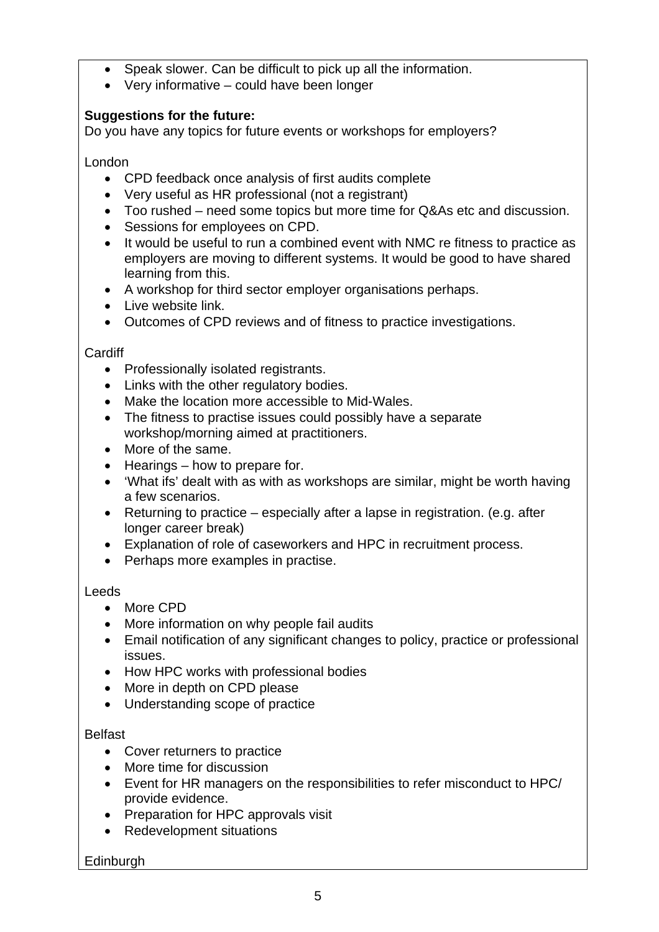- Speak slower. Can be difficult to pick up all the information.
- Very informative could have been longer

# **Suggestions for the future:**

Do you have any topics for future events or workshops for employers?

London

- CPD feedback once analysis of first audits complete
- Very useful as HR professional (not a registrant)
- Too rushed need some topics but more time for Q&As etc and discussion.
- Sessions for employees on CPD.
- It would be useful to run a combined event with NMC re fitness to practice as employers are moving to different systems. It would be good to have shared learning from this.
- A workshop for third sector employer organisations perhaps.
- Live website link.
- Outcomes of CPD reviews and of fitness to practice investigations.

## **Cardiff**

- Professionally isolated registrants.
- Links with the other regulatory bodies.
- Make the location more accessible to Mid-Wales.
- The fitness to practise issues could possibly have a separate workshop/morning aimed at practitioners.
- More of the same.
- Hearings how to prepare for.
- 'What ifs' dealt with as with as workshops are similar, might be worth having a few scenarios.
- Returning to practice especially after a lapse in registration. (e.g. after longer career break)
- Explanation of role of caseworkers and HPC in recruitment process.
- Perhaps more examples in practise.

# **Leeds**

- More CPD
- More information on why people fail audits
- Email notification of any significant changes to policy, practice or professional issues.
- How HPC works with professional bodies
- More in depth on CPD please
- Understanding scope of practice

# **Belfast**

- Cover returners to practice
- More time for discussion
- Event for HR managers on the responsibilities to refer misconduct to HPC/ provide evidence.
- Preparation for HPC approvals visit
- Redevelopment situations

# Edinburgh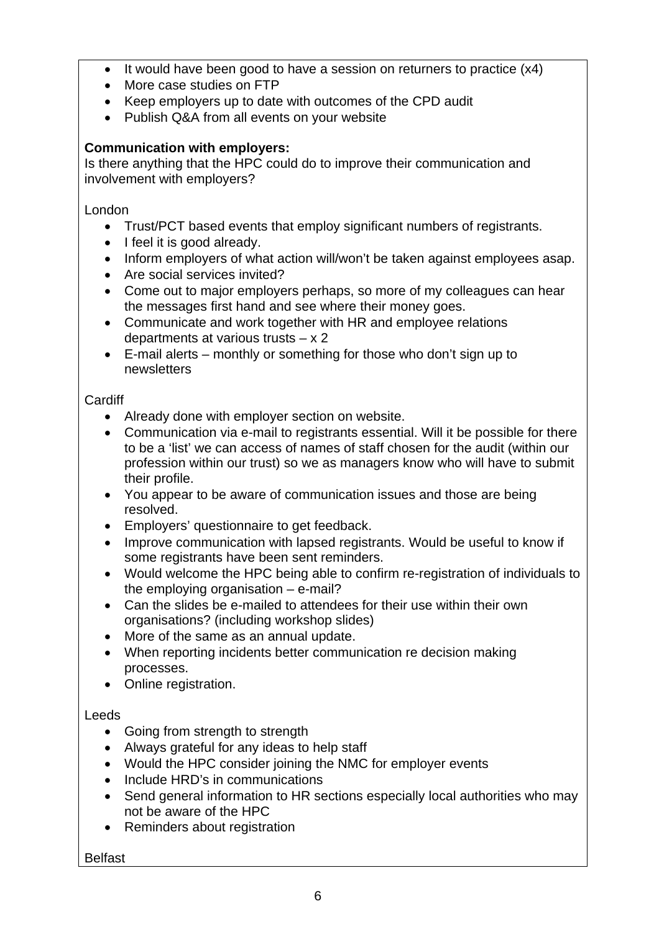- It would have been good to have a session on returners to practice (x4)
- More case studies on FTP
- Keep employers up to date with outcomes of the CPD audit
- Publish Q&A from all events on your website

# **Communication with employers:**

Is there anything that the HPC could do to improve their communication and involvement with employers?

London

- Trust/PCT based events that employ significant numbers of registrants.
- I feel it is good already.
- Inform employers of what action will/won't be taken against employees asap.
- Are social services invited?
- Come out to major employers perhaps, so more of my colleagues can hear the messages first hand and see where their money goes.
- Communicate and work together with HR and employee relations departments at various trusts – x 2
- E-mail alerts monthly or something for those who don't sign up to newsletters

# **Cardiff**

- Already done with employer section on website.
- Communication via e-mail to registrants essential. Will it be possible for there to be a 'list' we can access of names of staff chosen for the audit (within our profession within our trust) so we as managers know who will have to submit their profile.
- You appear to be aware of communication issues and those are being resolved.
- Employers' questionnaire to get feedback.
- Improve communication with lapsed registrants. Would be useful to know if some registrants have been sent reminders.
- Would welcome the HPC being able to confirm re-registration of individuals to the employing organisation – e-mail?
- Can the slides be e-mailed to attendees for their use within their own organisations? (including workshop slides)
- More of the same as an annual update.
- When reporting incidents better communication re decision making processes.
- Online registration.

# Leeds

- Going from strength to strength
- Always grateful for any ideas to help staff
- Would the HPC consider joining the NMC for employer events
- Include HRD's in communications
- Send general information to HR sections especially local authorities who may not be aware of the HPC
- Reminders about registration

Belfast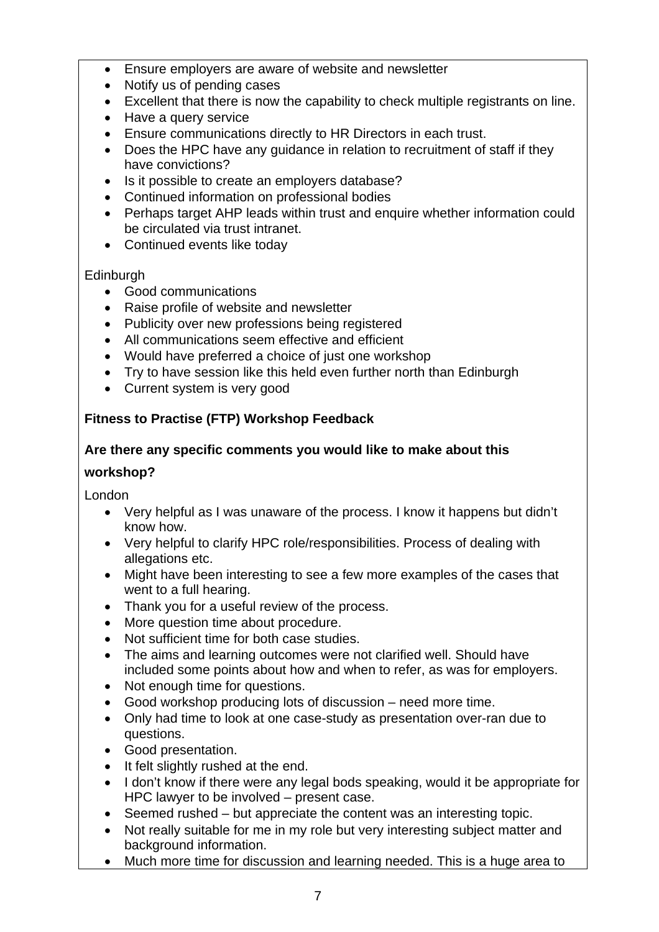- Ensure employers are aware of website and newsletter
- Notify us of pending cases
- Excellent that there is now the capability to check multiple registrants on line.
- Have a query service
- Ensure communications directly to HR Directors in each trust.
- Does the HPC have any guidance in relation to recruitment of staff if they have convictions?
- Is it possible to create an employers database?
- Continued information on professional bodies
- Perhaps target AHP leads within trust and enquire whether information could be circulated via trust intranet.
- Continued events like today

#### **Edinburgh**

- Good communications
- Raise profile of website and newsletter
- Publicity over new professions being registered
- All communications seem effective and efficient
- Would have preferred a choice of just one workshop
- Try to have session like this held even further north than Edinburgh
- Current system is very good

# **Fitness to Practise (FTP) Workshop Feedback**

## **Are there any specific comments you would like to make about this**

#### **workshop?**

London

- Very helpful as I was unaware of the process. I know it happens but didn't know how.
- Very helpful to clarify HPC role/responsibilities. Process of dealing with allegations etc.
- Might have been interesting to see a few more examples of the cases that went to a full hearing.
- Thank you for a useful review of the process.
- More question time about procedure.
- Not sufficient time for both case studies.
- The aims and learning outcomes were not clarified well. Should have included some points about how and when to refer, as was for employers.
- Not enough time for questions.
- Good workshop producing lots of discussion need more time.
- Only had time to look at one case-study as presentation over-ran due to questions.
- Good presentation.
- It felt slightly rushed at the end.
- I don't know if there were any legal bods speaking, would it be appropriate for HPC lawyer to be involved – present case.
- Seemed rushed but appreciate the content was an interesting topic.
- Not really suitable for me in my role but very interesting subject matter and background information.
- Much more time for discussion and learning needed. This is a huge area to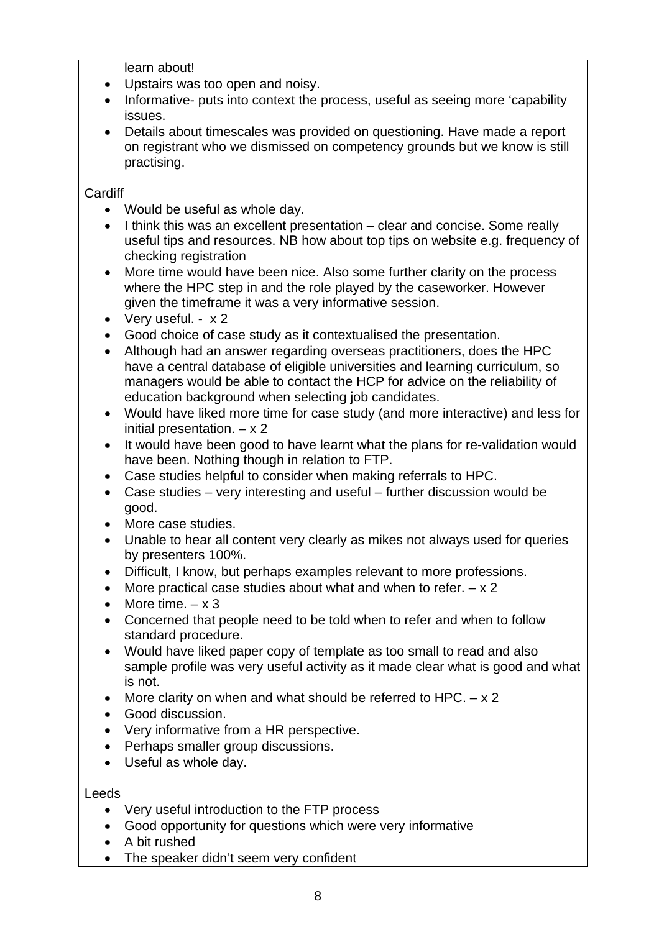learn about!

- Upstairs was too open and noisy.
- Informative- puts into context the process, useful as seeing more 'capability issues.
- Details about timescales was provided on questioning. Have made a report on registrant who we dismissed on competency grounds but we know is still practising.

**Cardiff** 

- Would be useful as whole day.
- I think this was an excellent presentation clear and concise. Some really useful tips and resources. NB how about top tips on website e.g. frequency of checking registration
- More time would have been nice. Also some further clarity on the process where the HPC step in and the role played by the caseworker. However given the timeframe it was a very informative session.
- Very useful. x 2
- Good choice of case study as it contextualised the presentation.
- Although had an answer regarding overseas practitioners, does the HPC have a central database of eligible universities and learning curriculum, so managers would be able to contact the HCP for advice on the reliability of education background when selecting job candidates.
- Would have liked more time for case study (and more interactive) and less for initial presentation.  $- x 2$
- It would have been good to have learnt what the plans for re-validation would have been. Nothing though in relation to FTP.
- Case studies helpful to consider when making referrals to HPC.
- Case studies very interesting and useful further discussion would be good.
- More case studies.
- Unable to hear all content very clearly as mikes not always used for queries by presenters 100%.
- Difficult, I know, but perhaps examples relevant to more professions.
- More practical case studies about what and when to refer.  $x 2$
- More time.  $-x$  3
- Concerned that people need to be told when to refer and when to follow standard procedure.
- Would have liked paper copy of template as too small to read and also sample profile was very useful activity as it made clear what is good and what is not.
- More clarity on when and what should be referred to HPC.  $x 2$
- Good discussion.
- Very informative from a HR perspective.
- Perhaps smaller group discussions.
- Useful as whole day.

Leeds

- Very useful introduction to the FTP process
- Good opportunity for questions which were very informative
- A bit rushed
- The speaker didn't seem very confident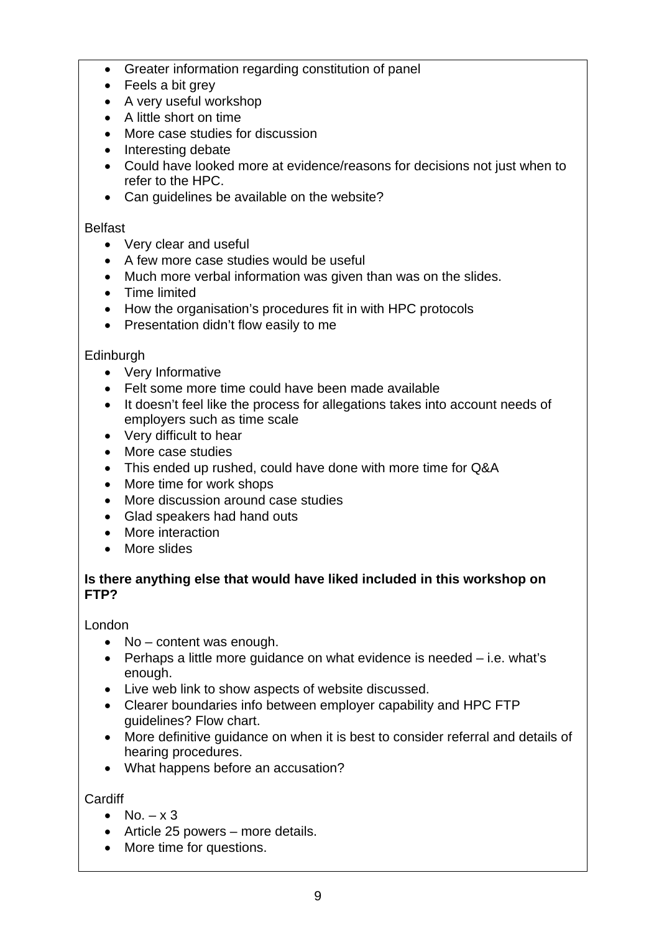- Greater information regarding constitution of panel
- Feels a bit grey
- A very useful workshop
- A little short on time
- More case studies for discussion
- Interesting debate
- Could have looked more at evidence/reasons for decisions not just when to refer to the HPC.
- Can guidelines be available on the website?

#### Belfast

- Very clear and useful
- A few more case studies would be useful
- Much more verbal information was given than was on the slides.
- Time limited
- How the organisation's procedures fit in with HPC protocols
- Presentation didn't flow easily to me

#### Edinburgh

- Very Informative
- Felt some more time could have been made available
- It doesn't feel like the process for allegations takes into account needs of employers such as time scale
- Very difficult to hear
- More case studies
- This ended up rushed, could have done with more time for Q&A
- More time for work shops
- More discussion around case studies
- Glad speakers had hand outs
- More interaction
- More slides

## **Is there anything else that would have liked included in this workshop on FTP?**

London

- No content was enough.
- Perhaps a little more guidance on what evidence is needed i.e. what's enough.
- Live web link to show aspects of website discussed.
- Clearer boundaries info between employer capability and HPC FTP guidelines? Flow chart.
- More definitive guidance on when it is best to consider referral and details of hearing procedures.
- What happens before an accusation?

**Cardiff** 

- No.  $x 3$
- Article 25 powers more details.
- More time for questions.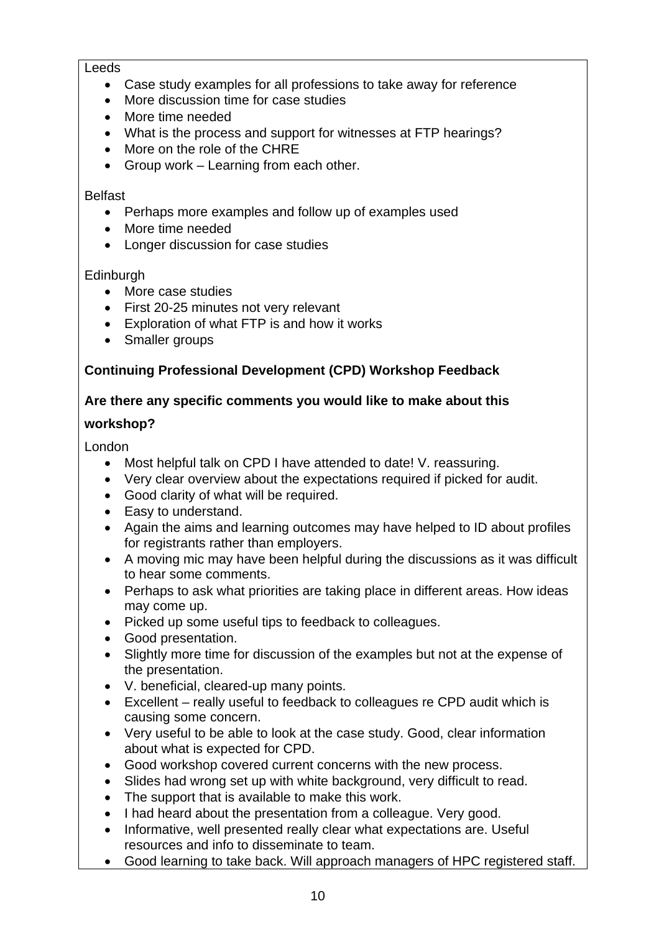#### Leeds

- Case study examples for all professions to take away for reference
- More discussion time for case studies
- More time needed
- What is the process and support for witnesses at FTP hearings?
- More on the role of the CHRE
- Group work Learning from each other.

#### Belfast

- Perhaps more examples and follow up of examples used
- More time needed
- Longer discussion for case studies

## **Edinburgh**

- More case studies
- First 20-25 minutes not very relevant
- Exploration of what FTP is and how it works
- Smaller groups

# **Continuing Professional Development (CPD) Workshop Feedback**

## **Are there any specific comments you would like to make about this**

## **workshop?**

London

- Most helpful talk on CPD I have attended to date! V. reassuring.
- Very clear overview about the expectations required if picked for audit.
- Good clarity of what will be required.
- Easy to understand.
- Again the aims and learning outcomes may have helped to ID about profiles for registrants rather than employers.
- A moving mic may have been helpful during the discussions as it was difficult to hear some comments.
- Perhaps to ask what priorities are taking place in different areas. How ideas may come up.
- Picked up some useful tips to feedback to colleagues.
- Good presentation.
- Slightly more time for discussion of the examples but not at the expense of the presentation.
- V. beneficial, cleared-up many points.
- Excellent really useful to feedback to colleagues re CPD audit which is causing some concern.
- Very useful to be able to look at the case study. Good, clear information about what is expected for CPD.
- Good workshop covered current concerns with the new process.
- Slides had wrong set up with white background, very difficult to read.
- The support that is available to make this work.
- I had heard about the presentation from a colleague. Very good.
- Informative, well presented really clear what expectations are. Useful resources and info to disseminate to team.
- Good learning to take back. Will approach managers of HPC registered staff.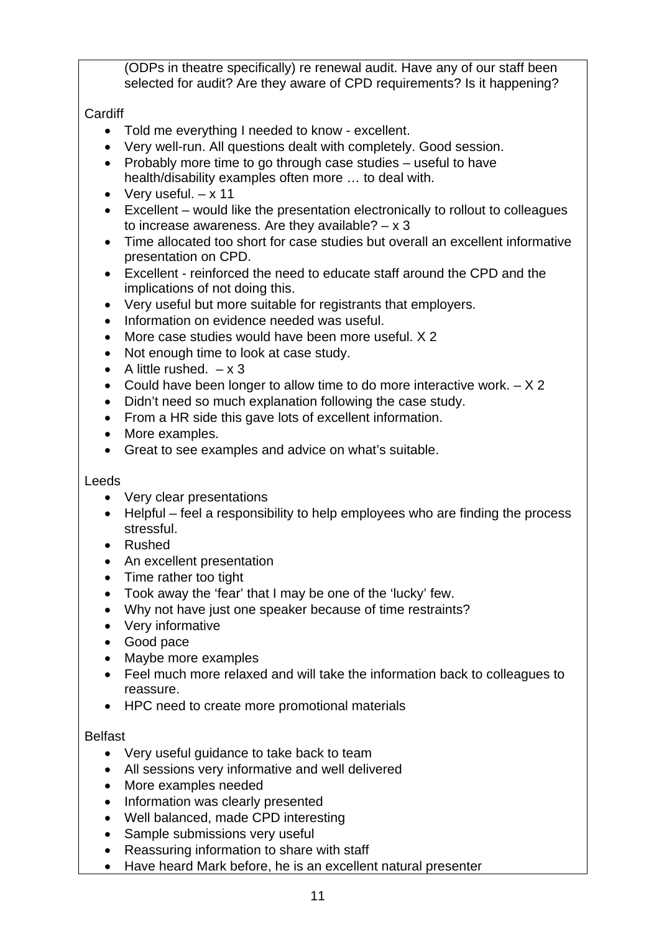(ODPs in theatre specifically) re renewal audit. Have any of our staff been selected for audit? Are they aware of CPD requirements? Is it happening?

# **Cardiff**

- Told me everything I needed to know excellent.
- Very well-run. All questions dealt with completely. Good session.
- Probably more time to go through case studies useful to have health/disability examples often more … to deal with.
- Very useful.  $x 11$
- Excellent would like the presentation electronically to rollout to colleagues to increase awareness. Are they available?  $- x 3$
- Time allocated too short for case studies but overall an excellent informative presentation on CPD.
- Excellent reinforced the need to educate staff around the CPD and the implications of not doing this.
- Very useful but more suitable for registrants that employers.
- Information on evidence needed was useful.
- More case studies would have been more useful. X 2
- Not enough time to look at case study.
- A little rushed.  $-x3$
- Could have been longer to allow time to do more interactive work.  $X 2$
- Didn't need so much explanation following the case study.
- From a HR side this gave lots of excellent information.
- More examples.
- Great to see examples and advice on what's suitable.

# Leeds

- Very clear presentations
- Helpful feel a responsibility to help employees who are finding the process stressful.
- Rushed
- An excellent presentation
- Time rather too tight
- Took away the 'fear' that I may be one of the 'lucky' few.
- Why not have just one speaker because of time restraints?
- Very informative
- Good pace
- Maybe more examples
- Feel much more relaxed and will take the information back to colleagues to reassure.
- HPC need to create more promotional materials

# Belfast

- Very useful guidance to take back to team
- All sessions very informative and well delivered
- More examples needed
- Information was clearly presented
- Well balanced, made CPD interesting
- Sample submissions very useful
- Reassuring information to share with staff
- Have heard Mark before, he is an excellent natural presenter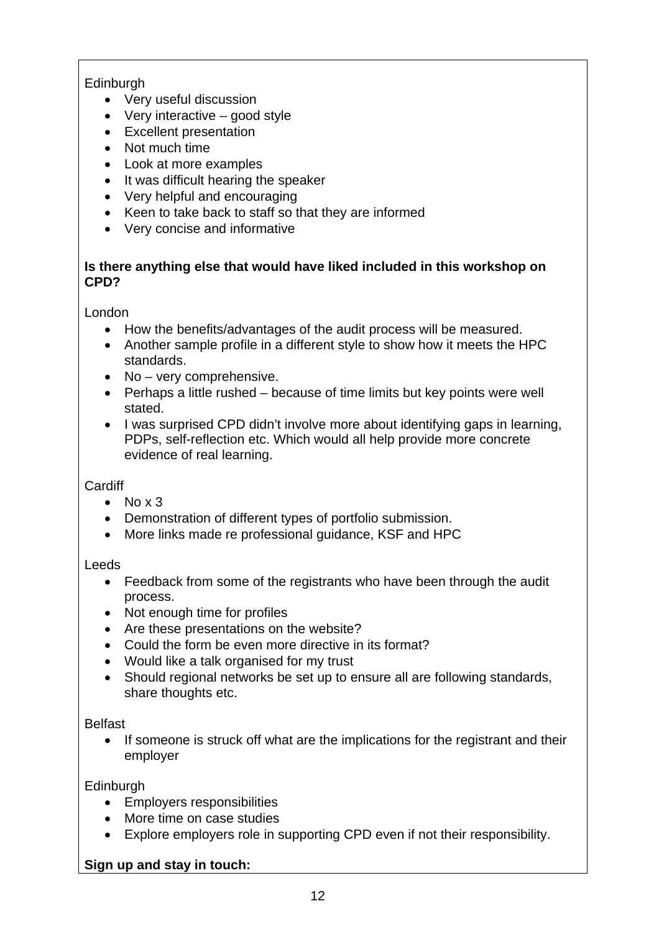# **Edinburgh**

- Very useful discussion
- Very interactive good style
- Excellent presentation
- Not much time
- Look at more examples
- It was difficult hearing the speaker
- Very helpful and encouraging
- Keen to take back to staff so that they are informed
- Very concise and informative

# **Is there anything else that would have liked included in this workshop on CPD?**

London

- How the benefits/advantages of the audit process will be measured.
- Another sample profile in a different style to show how it meets the HPC standards.
- No very comprehensive.
- Perhaps a little rushed because of time limits but key points were well stated.
- I was surprised CPD didn't involve more about identifying gaps in learning, PDPs, self-reflection etc. Which would all help provide more concrete evidence of real learning.

# **Cardiff**

- $\bullet$  No x 3
- Demonstration of different types of portfolio submission.
- More links made re professional guidance, KSF and HPC

Leeds

- Feedback from some of the registrants who have been through the audit process.
- Not enough time for profiles
- Are these presentations on the website?
- Could the form be even more directive in its format?
- Would like a talk organised for my trust
- Should regional networks be set up to ensure all are following standards, share thoughts etc.

Belfast

• If someone is struck off what are the implications for the registrant and their employer

**Edinburgh** 

- Employers responsibilities
- More time on case studies
- Explore employers role in supporting CPD even if not their responsibility.

# **Sign up and stay in touch:**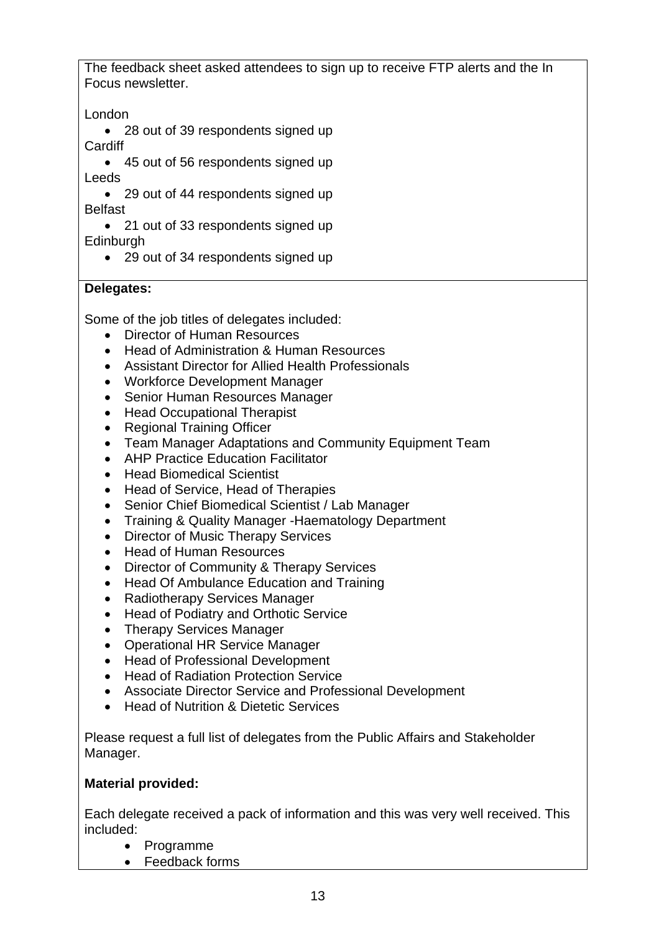The feedback sheet asked attendees to sign up to receive FTP alerts and the In Focus newsletter.

London

• 28 out of 39 respondents signed up **Cardiff** 

• 45 out of 56 respondents signed up Leeds

• 29 out of 44 respondents signed up Belfast

• 21 out of 33 respondents signed up **Edinburgh** 

• 29 out of 34 respondents signed up

# **Delegates:**

Some of the job titles of delegates included:

- Director of Human Resources
- Head of Administration & Human Resources
- Assistant Director for Allied Health Professionals
- Workforce Development Manager
- Senior Human Resources Manager
- Head Occupational Therapist
- Regional Training Officer
- Team Manager Adaptations and Community Equipment Team
- AHP Practice Education Facilitator
- Head Biomedical Scientist
- Head of Service, Head of Therapies
- Senior Chief Biomedical Scientist / Lab Manager
- Training & Quality Manager -Haematology Department
- Director of Music Therapy Services
- Head of Human Resources
- Director of Community & Therapy Services
- Head Of Ambulance Education and Training
- Radiotherapy Services Manager
- Head of Podiatry and Orthotic Service
- Therapy Services Manager
- Operational HR Service Manager
- Head of Professional Development
- Head of Radiation Protection Service
- Associate Director Service and Professional Development
- Head of Nutrition & Dietetic Services

Please request a full list of delegates from the Public Affairs and Stakeholder Manager.

# **Material provided:**

Each delegate received a pack of information and this was very well received. This included:

- Programme
- Feedback forms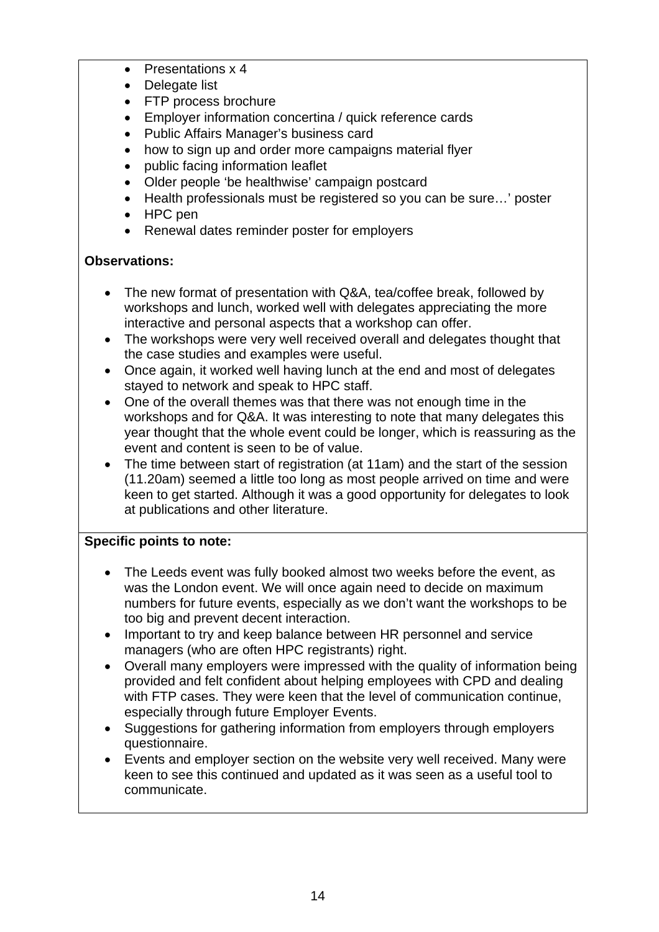- Presentations x 4
- Delegate list
- FTP process brochure
- Employer information concertina / quick reference cards
- Public Affairs Manager's business card
- how to sign up and order more campaigns material flyer
- public facing information leaflet
- Older people 'be healthwise' campaign postcard
- Health professionals must be registered so you can be sure…' poster
- HPC pen
- Renewal dates reminder poster for employers

# **Observations:**

- The new format of presentation with Q&A, tea/coffee break, followed by workshops and lunch, worked well with delegates appreciating the more interactive and personal aspects that a workshop can offer.
- The workshops were very well received overall and delegates thought that the case studies and examples were useful.
- Once again, it worked well having lunch at the end and most of delegates stayed to network and speak to HPC staff.
- One of the overall themes was that there was not enough time in the workshops and for Q&A. It was interesting to note that many delegates this year thought that the whole event could be longer, which is reassuring as the event and content is seen to be of value.
- The time between start of registration (at 11am) and the start of the session (11.20am) seemed a little too long as most people arrived on time and were keen to get started. Although it was a good opportunity for delegates to look at publications and other literature.

# **Specific points to note:**

- The Leeds event was fully booked almost two weeks before the event, as was the London event. We will once again need to decide on maximum numbers for future events, especially as we don't want the workshops to be too big and prevent decent interaction.
- Important to try and keep balance between HR personnel and service managers (who are often HPC registrants) right.
- Overall many employers were impressed with the quality of information being provided and felt confident about helping employees with CPD and dealing with FTP cases. They were keen that the level of communication continue, especially through future Employer Events.
- Suggestions for gathering information from employers through employers questionnaire.
- Events and employer section on the website very well received. Many were keen to see this continued and updated as it was seen as a useful tool to communicate.